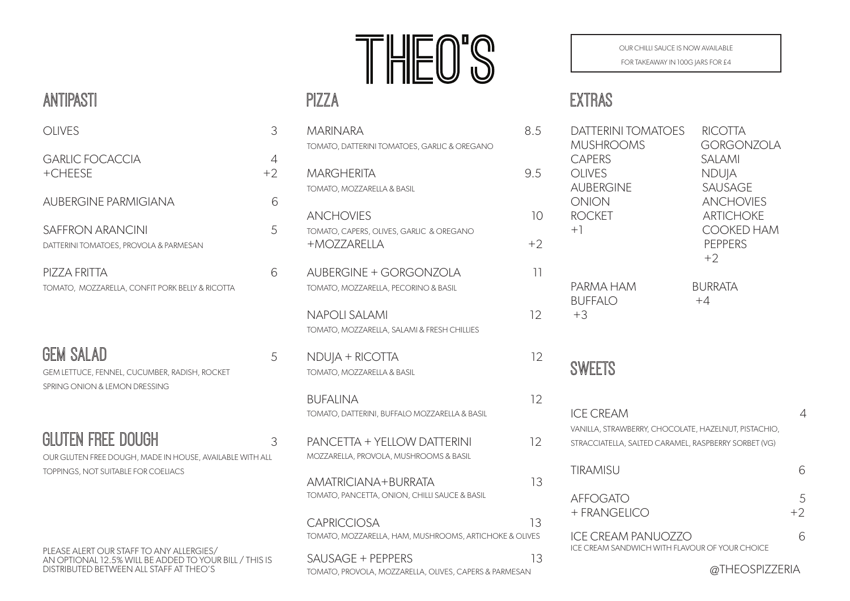# THEO'S

#### PIZZA

| <b>MARINARA</b>                                                              | 8.5               |
|------------------------------------------------------------------------------|-------------------|
| TOMATO, DATTERINI TOMATOES, GARLIC & OREGANO                                 |                   |
| <b>MARGHERITA</b>                                                            | 9.5               |
| TOMATO, MOZZARELLA & BASIL                                                   |                   |
| <b>ANCHOVIES</b>                                                             | 10 <sup>°</sup>   |
| TOMATO, CAPERS, OLIVES, GARLIC & OREGANO<br>+MOZZARELLA                      | $+2$              |
| <b>AUBERGINE + GORGONZOLA</b><br>TOMATO, MOZZARELLA, PECORINO & BASIL        | 11                |
| <b>NAPOLI SALAMI</b><br>TOMATO, MOZZARELLA, SALAMI & FRESH CHILLIES          | 12 <sup>°</sup>   |
| NDUJA + RICOTTA<br>TOMATO, MOZZARELLA & BASIL                                | 12                |
| <b>BUFALINA</b><br>TOMATO, DATTERINI, BUFFALO MOZZARELLA & BASIL             | $12 \overline{ }$ |
| <b>PANCETTA + YELLOW DATTERINI</b><br>MOZZARELLA, PROVOLA, MUSHROOMS & BASIL | 12                |
| AMATRICIANA+BURRATA<br>TOMATO, PANCETTA, ONION, CHILLI SAUCE & BASIL         | 13                |
| <b>CAPRICCIOSA</b><br>TOMATO, MOZZARELLA, HAM, MUSHROOMS, ARTICHOKE & OLIVES | 13                |
| SAUSAGE + PEPPERS                                                            | 13                |

OUR CHILLI SAUCE IS NOW AVAILABLE

FOR TAKEAWAY IN 100G JARS FOR £4

## EXTRAS

| <b>DATTERINI TOMATOES</b><br><b>MUSHROOMS</b><br><b>CAPERS</b><br><b>OLIVES</b><br><b>AUBERGINE</b><br><b>ONION</b><br><b>ROCKET</b><br>$+1$ | <b>RICOTTA</b><br><b>GORGONZOLA</b><br><b>SALAMI</b><br><b>NDUJA</b><br><b>SAUSAGE</b><br><b>ANCHOVIES</b><br><b>ARTICHOKE</b><br><b>COOKED HAM</b><br><b>PEPPERS</b><br>$+2$ |           |
|----------------------------------------------------------------------------------------------------------------------------------------------|-------------------------------------------------------------------------------------------------------------------------------------------------------------------------------|-----------|
| PARMA HAM<br><b>BUFFALO</b><br>$+3$                                                                                                          | <b>BURRATA</b><br>$+4$                                                                                                                                                        |           |
| <b>SWEETS</b>                                                                                                                                |                                                                                                                                                                               |           |
| <b>ICE CREAM</b><br>VANILLA, STRAWBERRY, CHOCOLATE, HAZELNUT, PISTACHIO,<br>STRACCIATELLA, SALTED CARAMEL, RASPBERRY SORBET (VG)             |                                                                                                                                                                               | 4         |
| <b>TIRAMISU</b>                                                                                                                              |                                                                                                                                                                               | 6         |
| <b>AFFOGATO</b><br>+ FRANGELICO                                                                                                              |                                                                                                                                                                               | 5<br>$+2$ |
| <b>ICE CREAM PANUOZZO</b><br>ICE CREAM SANDWICH WITH FLAVOUR OF YOUR CHOICE                                                                  |                                                                                                                                                                               | 6         |
|                                                                                                                                              |                                                                                                                                                                               |           |

#### ANTIPASTI

| <b>OLIVES</b>                                                                                                        | 3         |
|----------------------------------------------------------------------------------------------------------------------|-----------|
| <b>GARLIC FOCACCIA</b><br>+CHEESE                                                                                    | 4<br>$+2$ |
| <b>AUBERGINE PARMIGIANA</b>                                                                                          | 6         |
| SAFFRON ARANCINI<br>DATTERINI TOMATOES, PROVOLA & PARMESAN                                                           | 5         |
| PIZZA FRITTA<br>TOMATO, MOZZARELLA, CONFIT PORK BELLY & RICOTTA                                                      | 6         |
| <b>GEM SALAD</b><br>GEM LETTUCE, FENNEL, CUCUMBER, RADISH, ROCKET<br>SPRING ONION & LEMON DRESSING                   | 5         |
| GLUTEN FREE DOUGH<br>OUR GLUTEN FREE DOUGH, MADE IN HOUSE, AVAILABLE WITH ALL<br>TOPPINGS, NOT SUITABLE FOR COELIACS | 3         |

PLEASE ALERT OUR STAFF TO ANY ALLERGIES/ AN OPTIONAL 12.5% WILL BE ADDED TO YOUR BILL / THIS IS DISTRIBUTED BETWEEN ALL STAFF AT THEO'S

TOMATO, PROVOLA, MOZZARELLA, OLIVES, CAPERS & PARMESAN

@THEOSPIZZERIA